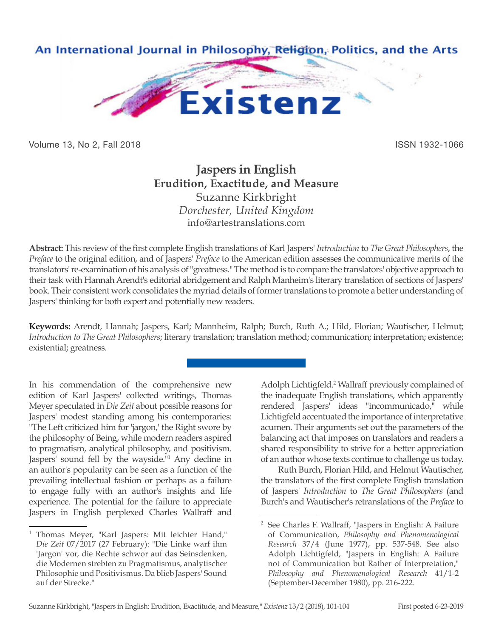

Volume 13, No 2, Fall 2018 ISSN 1932-1066

## **Jaspers in English Erudition, Exactitude, and Measure** Suzanne Kirkbright *Dorchester, United Kingdom* info@artestranslations.com

**Abstract:** This review of the first complete English translations of Karl Jaspers' *Introduction* to *The Great Philosophers*, the *Preface* to the original edition, and of Jaspers' *Preface* to the American edition assesses the communicative merits of the translators' re-examination of his analysis of "greatness." The method is to compare the translators' objective approach to their task with Hannah Arendt's editorial abridgement and Ralph Manheim's literary translation of sections of Jaspers' book. Their consistent work consolidates the myriad details of former translations to promote a better understanding of Jaspers' thinking for both expert and potentially new readers.

**Keywords:** Arendt, Hannah; Jaspers, Karl; Mannheim, Ralph; Burch, Ruth A.; Hild, Florian; Wautischer, Helmut; *Introduction to The Great Philosophers*; literary translation; translation method; communication; interpretation; existence; existential; greatness.

In his commendation of the comprehensive new edition of Karl Jaspers' collected writings, Thomas Meyer speculated in *Die Zeit* about possible reasons for Jaspers' modest standing among his contemporaries: "The Left criticized him for 'jargon,' the Right swore by the philosophy of Being, while modern readers aspired to pragmatism, analytical philosophy, and positivism. Jaspers' sound fell by the wayside.<sup>"1</sup> Any decline in an author's popularity can be seen as a function of the prevailing intellectual fashion or perhaps as a failure to engage fully with an author's insights and life experience. The potential for the failure to appreciate Jaspers in English perplexed Charles Wallraff and

Adolph Lichtigfeld.<sup>2</sup> Wallraff previously complained of the inadequate English translations, which apparently rendered Jaspers' ideas "incommunicado," while Lichtigfeld accentuated the importance of interpretative acumen. Their arguments set out the parameters of the balancing act that imposes on translators and readers a shared responsibility to strive for a better appreciation of an author whose texts continue to challenge us today.

Ruth Burch, Florian Hild, and Helmut Wautischer, the translators of the first complete English translation of Jaspers' *Introduction* to *The Great Philosophers* (and Burch's and Wautischer's retranslations of the *Preface* to

<sup>1</sup> Thomas Meyer, "Karl Jaspers: Mit leichter Hand," *Die Zeit* 07/2017 (27 February): "Die Linke warf ihm 'Jargon' vor, die Rechte schwor auf das Seinsdenken, die Modernen strebten zu Pragmatismus, analytischer Philosophie und Positivismus. Da blieb Jaspers' Sound auf der Strecke."

<sup>2</sup> See Charles F. Wallraff, "Jaspers in English: A Failure of Communication, *Philosophy and Phenomenological Research* 37/4 (June 1977), pp. 537-548. See also Adolph Lichtigfeld, "Jaspers in English: A Failure not of Communication but Rather of Interpretation," *Philosophy and Phenomenological Research* 41/1-2 (September-December 1980), pp. 216-222.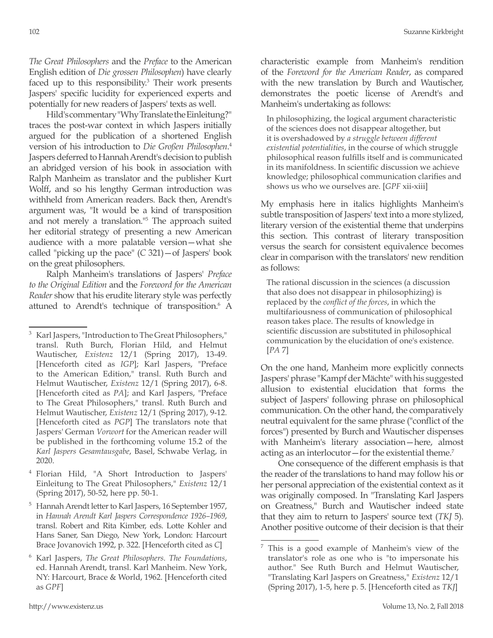*The Great Philosophers* and the *Preface* to the American English edition of *Die grossen Philosophen*) have clearly faced up to this responsibility.<sup>3</sup> Their work presents Jaspers' specific lucidity for experienced experts and potentially for new readers of Jaspers' texts as well.

Hild's commentary "Why Translate the Einleitung?" traces the post-war context in which Jaspers initially argued for the publication of a shortened English version of his introduction to *Die Großen Philosophen*. 4 Jaspers deferred to Hannah Arendt's decision to publish an abridged version of his book in association with Ralph Manheim as translator and the publisher Kurt Wolff, and so his lengthy German introduction was withheld from American readers. Back then, Arendt's argument was, "It would be a kind of transposition and not merely a translation."5 The approach suited her editorial strategy of presenting a new American audience with a more palatable version—what she called "picking up the pace" (*C* 321)—of Jaspers' book on the great philosophers.

Ralph Manheim's translations of Jaspers' *Preface to the Original Edition* and the *Foreword for the American Reader* show that his erudite literary style was perfectly attuned to Arendt's technique of transposition.<sup>6</sup> A

- <sup>4</sup> Florian Hild, "A Short Introduction to Jaspers' Einleitung to The Great Philosophers," *Existenz* 12/1 (Spring 2017), 50-52, here pp. 50-1.
- <sup>5</sup> Hannah Arendt letter to Karl Jaspers, 16 September 1957, in *Hannah Arendt Karl Jaspers Correspondence 1926–1969*, transl. Robert and Rita Kimber, eds. Lotte Kohler and Hans Saner, San Diego, New York, London: Harcourt Brace Jovanovich 1992, p. 322. [Henceforth cited as *C*]
- <sup>6</sup> Karl Jaspers, *The Great Philosophers. The Foundations*, ed. Hannah Arendt, transl. Karl Manheim. New York, NY: Harcourt, Brace & World, 1962. [Henceforth cited as *GPF*]

characteristic example from Manheim's rendition of the *Foreword for the American Reader*, as compared with the new translation by Burch and Wautischer, demonstrates the poetic license of Arendt's and Manheim's undertaking as follows:

In philosophizing, the logical argument characteristic of the sciences does not disappear altogether, but it is overshadowed by *a struggle between different existential potentialities*, in the course of which struggle philosophical reason fulfills itself and is communicated in its manifoldness. In scientific discussion we achieve knowledge; philosophical communication clarifies and shows us who we ourselves are. [*GPF* xii-xiii]

My emphasis here in italics highlights Manheim's subtle transposition of Jaspers' text into a more stylized, literary version of the existential theme that underpins this section. This contrast of literary transposition versus the search for consistent equivalence becomes clear in comparison with the translators' new rendition as follows:

The rational discussion in the sciences (a discussion that also does not disappear in philosophizing) is replaced by the *conflict of the forces*, in which the multifariousness of communication of philosophical reason takes place. The results of knowledge in scientific discussion are substituted in philosophical communication by the elucidation of one's existence. [*PA* 7]

On the one hand, Manheim more explicitly connects Jaspers' phrase "Kampf der Mächte" with his suggested allusion to existential elucidation that forms the subject of Jaspers' following phrase on philosophical communication. On the other hand, the comparatively neutral equivalent for the same phrase ("conflict of the forces") presented by Burch and Wautischer dispenses with Manheim's literary association—here, almost acting as an interlocutor—for the existential theme.<sup>7</sup>

One consequence of the different emphasis is that the reader of the translations to hand may follow his or her personal appreciation of the existential context as it was originally composed. In "Translating Karl Jaspers on Greatness," Burch and Wautischer indeed state that they aim to return to Jaspers' source text (*TKJ* 5). Another positive outcome of their decision is that their

Karl Jaspers, "Introduction to The Great Philosophers," transl. Ruth Burch, Florian Hild, and Helmut Wautischer, *Existenz* 12/1 (Spring 2017), 13-49. [Henceforth cited as *IGP*]; Karl Jaspers, "Preface to the American Edition," transl. Ruth Burch and Helmut Wautischer, *Existenz* 12/1 (Spring 2017), 6-8. [Henceforth cited as *PA*]; and Karl Jaspers, "Preface to The Great Philosophers," transl. Ruth Burch and Helmut Wautischer, *Existenz* 12/1 (Spring 2017), 9-12. [Henceforth cited as *PGP*] The translators note that Jaspers' German *Vorwort* for the American reader will be published in the forthcoming volume 15.2 of the *Karl Jaspers Gesamtausgabe*, Basel, Schwabe Verlag, in 2020.

<sup>7</sup> This is a good example of Manheim's view of the translator's role as one who is "to impersonate his author." See Ruth Burch and Helmut Wautischer, "Translating Karl Jaspers on Greatness," *Existenz* 12/1 (Spring 2017), 1-5, here p. 5. [Henceforth cited as *TKJ*]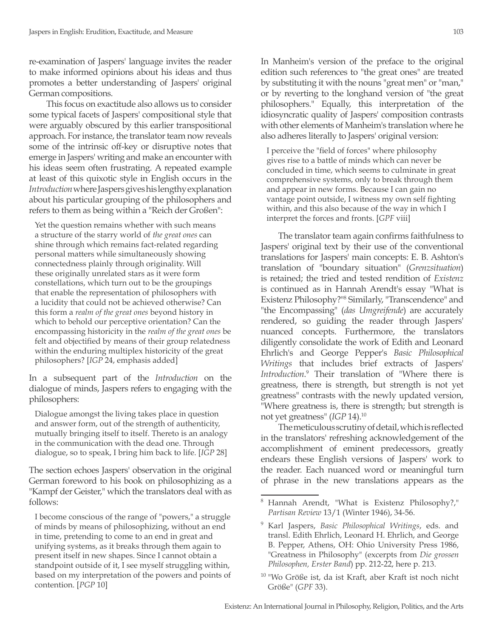re-examination of Jaspers' language invites the reader to make informed opinions about his ideas and thus promotes a better understanding of Jaspers' original German compositions.

This focus on exactitude also allows us to consider some typical facets of Jaspers' compositional style that were arguably obscured by this earlier transpositional approach. For instance, the translator team now reveals some of the intrinsic off-key or disruptive notes that emerge in Jaspers' writing and make an encounter with his ideas seem often frustrating. A repeated example at least of this quixotic style in English occurs in the *Introduction* where Jaspers gives his lengthy explanation about his particular grouping of the philosophers and refers to them as being within a "Reich der Großen":

Yet the question remains whether with such means a structure of the starry world of *the great ones* can shine through which remains fact-related regarding personal matters while simultaneously showing connectedness plainly through originality. Will these originally unrelated stars as it were form constellations, which turn out to be the groupings that enable the representation of philosophers with a lucidity that could not be achieved otherwise? Can this form a *realm of the great ones* beyond history in which to behold our perceptive orientation? Can the encompassing historicity in the *realm of the great ones* be felt and objectified by means of their group relatedness within the enduring multiplex historicity of the great philosophers? [*IGP* 24, emphasis added]

In a subsequent part of the *Introduction* on the dialogue of minds, Jaspers refers to engaging with the philosophers:

Dialogue amongst the living takes place in question and answer form, out of the strength of authenticity, mutually bringing itself to itself. Thereto is an analogy in the communication with the dead one. Through dialogue, so to speak, I bring him back to life. [*IGP* 28]

The section echoes Jaspers' observation in the original German foreword to his book on philosophizing as a "Kampf der Geister," which the translators deal with as follows:

I become conscious of the range of "powers," a struggle of minds by means of philosophizing, without an end in time, pretending to come to an end in great and unifying systems, as it breaks through them again to present itself in new shapes. Since I cannot obtain a standpoint outside of it, I see myself struggling within, based on my interpretation of the powers and points of contention. [*PGP* 10]

In Manheim's version of the preface to the original edition such references to "the great ones" are treated by substituting it with the nouns "great men" or "man," or by reverting to the longhand version of "the great philosophers." Equally, this interpretation of the idiosyncratic quality of Jaspers' composition contrasts with other elements of Manheim's translation where he also adheres literally to Jaspers' original version:

I perceive the "field of forces" where philosophy gives rise to a battle of minds which can never be concluded in time, which seems to culminate in great comprehensive systems, only to break through them and appear in new forms. Because I can gain no vantage point outside, I witness my own self fighting within, and this also because of the way in which I interpret the forces and fronts. [*GPF* viii]

The translator team again confirms faithfulness to Jaspers' original text by their use of the conventional translations for Jaspers' main concepts: E. B. Ashton's translation of "boundary situation" (*Grenzsituation*) is retained; the tried and tested rendition of *Existenz*  is continued as in Hannah Arendt's essay "What is Existenz Philosophy?"8 Similarly, "Transcendence" and "the Encompassing" (*das Umgreifende*) are accurately rendered, so guiding the reader through Jaspers' nuanced concepts. Furthermore, the translators diligently consolidate the work of Edith and Leonard Ehrlich's and George Pepper's *Basic Philosophical Writings* that includes brief extracts of Jaspers' *Introduction*. 9 Their translation of "Where there is greatness, there is strength, but strength is not yet greatness" contrasts with the newly updated version, "Where greatness is, there is strength; but strength is not yet greatness" (*IGP* 14).10

The meticulous scrutiny of detail, which is reflected in the translators' refreshing acknowledgement of the accomplishment of eminent predecessors, greatly endears these English versions of Jaspers' work to the reader. Each nuanced word or meaningful turn of phrase in the new translations appears as the

<sup>8</sup> Hannah Arendt, "What is Existenz Philosophy?," *Partisan Review* 13/1 (Winter 1946), 34-56.

<sup>9</sup> Karl Jaspers, *Basic Philosophical Writings*, eds. and transl. Edith Ehrlich, Leonard H. Ehrlich, and George B. Pepper, Athens, OH: Ohio University Press 1986, "Greatness in Philosophy" (excerpts from *Die grossen Philosophen, Erster Band*) pp. 212-22, here p. 213.

<sup>10</sup> "Wo Größe ist, da ist Kraft, aber Kraft ist noch nicht Größe" (*GPF* 33).